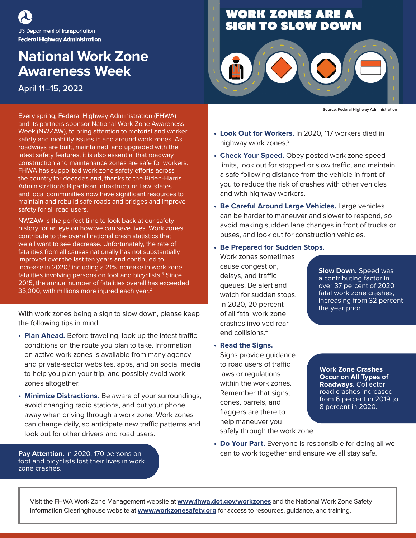U.S. Department of Transportation **Federal Highway Administration** 

## **National Work Zone Awareness Week**

**April 11–15, 2022**

Every spring, Federal Highway Administration (FHWA) and its partners sponsor National Work Zone Awareness Week (NWZAW), to bring attention to motorist and worker safety and mobility issues in and around work zones. As roadways are built, maintained, and upgraded with the latest safety features, it is also essential that roadway construction and maintenance zones are safe for workers. FHWA has supported work zone safety efforts across the country for decades and, thanks to the Biden-Harris Administration's Bipartisan Infrastructure Law, states and local communities now have significant resources to maintain and rebuild safe roads and bridges and improve safety for all road users.

NWZAW is the perfect time to look back at our safety history for an eye on how we can save lives. Work zones contribute to the overall national crash statistics that we all want to see decrease. Unfortunately, the rate of fatalities from all causes nationally has not substantially improved over the last ten years and continued to increase in 2020,<sup>1</sup> including a 21% increase in work zone fatalities involving persons on foot and bicyclists.<sup>5</sup> Since 2015, the annual number of fatalities overall has exceeded 35,000, with millions more injured each year.2

With work zones being a sign to slow down, please keep the following tips in mind:

- **Plan Ahead.** Before traveling, look up the latest traffic conditions on the route you plan to take. Information on active work zones is available from many agency and private-sector websites, apps, and on social media to help you plan your trip, and possibly avoid work zones altogether.
- **Minimize Distractions.** Be aware of your surroundings, avoid changing radio stations, and put your phone away when driving through a work zone. Work zones can change daily, so anticipate new traffic patterns and look out for other drivers and road users.

**Pay Attention.** In 2020, 170 persons on foot and bicyclists lost their lives in work zone crashes.

## **WORK ZONES ARE A<br>SIGN TO SLOW DOWN**



**Source: Federal Highway Administration**

- **Look Out for Workers.** In 2020, 117 workers died in highway work zones.<sup>3</sup>
- **Check Your Speed.** Obey posted work zone speed limits, look out for stopped or slow traffic, and maintain a safe following distance from the vehicle in front of you to reduce the risk of crashes with other vehicles and with highway workers.
- **Be Careful Around Large Vehicles.** Large vehicles can be harder to maneuver and slower to respond, so avoid making sudden lane changes in front of trucks or buses, and look out for construction vehicles.
- **Be Prepared for Sudden Stops.**

Work zones sometimes cause congestion, delays, and traffic queues. Be alert and watch for sudden stops. In 2020, 20 percent of all fatal work zone crashes involved rearend collisions.4

**• Read the Signs.** Signs provide guidance to road users of traffic laws or regulations within the work zones. Remember that signs, cones, barrels, and flaggers are there to help maneuver you safely through the work zone.

**Slow Down.** Speed was a contributing factor in over 37 percent of 2020 fatal work zone crashes, increasing from 32 percent the year prior.

**Work Zone Crashes Occur on All Types of Roadways.** Collector road crashes increased from 6 percent in 2019 to 8 percent in 2020.

**• Do Your Part.** Everyone is responsible for doing all we can to work together and ensure we all stay safe.

Visit the FHWA Work Zone Management website at **[www.fhwa.dot.gov/workzones](https://www.fhwa.dot.gov/workzones)** and the National Work Zone Safety Information Clearinghouse website at **[www.workzonesafety.org](https://www.workzonesafety.org)** for access to resources, guidance, and training.